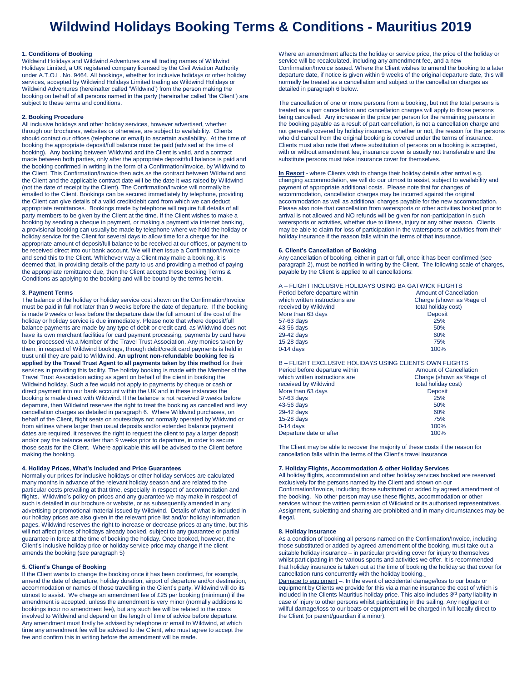# **Wildwind Holidays Booking Terms & Conditions - Mauritius 2019**

## **1. Conditions of Booking**

Wildwind Holidays and Wildwind Adventures are all trading names of Wildwind Holidays Limited, a UK registered company licensed by the Civil Aviation Authority under A.T.O.L. No. 9464. All bookings, whether for inclusive holidays or other holiday services, accepted by Wildwind Holidays Limited trading as Wildwind Holidays or Wildwind Adventures (hereinafter called 'Wildwind') from the person making the booking on behalf of all persons named in the party (hereinafter called 'the Client') are subject to these terms and conditions.

# **2. Booking Procedure**

All inclusive holidays and other holiday services, however advertised, whether through our brochures, websites or otherwise, are subject to availability. Clients should contact our offices (telephone or email) to ascertain availability. At the time of booking the appropriate deposit/full balance must be paid (advised at the time of booking). Any booking between Wildwind and the Client is valid, and a contract made between both parties, only after the appropriate deposit/full balance is paid and the booking confirmed in writing in the form of a Confirmation/Invoice, by Wildwind to the Client. This Confirmation/Invoice then acts as the contract between Wildwind and the Client and the applicable contract date will be the date it was raised by Wildwind (not the date of receipt by the Client). The Confirmation/Invoice will normally be emailed to the Client. Bookings can be secured immediately by telephone, providing the Client can give details of a valid credit/debit card from which we can deduct appropriate remittances. Bookings made by telephone will require full details of all party members to be given by the Client at the time. If the Client wishes to make a booking by sending a cheque in payment, or making a payment via internet banking, a provisional booking can usually be made by telephone where we hold the holiday or holiday service for the Client for several days to allow time for a cheque for the appropriate amount of deposit/full balance to be received at our offices, or payment to be received direct into our bank account. We will then issue a Confirmation/Invoice and send this to the Client. Whichever way a Client may make a booking, it is deemed that, in providing details of the party to us and providing a method of paying the appropriate remittance due, then the Client accepts these Booking Terms & Conditions as applying to the booking and will be bound by the terms herein.

# **3. Payment Terms**

The balance of the holiday or holiday service cost shown on the Confirmation/Invoice must be paid in full not later than 9 weeks before the date of departure. If the booking is made 9 weeks or less before the departure date the full amount of the cost of the holiday or holiday service is due immediately. Please note that where deposit/full balance payments are made by any type of debit or credit card, as Wildwind does not have its own merchant facilities for card payment processing, payments by card have to be processed via a Member of the Travel Trust Association. Any monies taken by them, in respect of Wildwind bookings, through debit/credit card payments is held in trust until they are paid to Wildwind. **An upfront non-refundable booking fee is applied by the Travel Trust Agent to all payments taken by this method** for their services in providing this facility. The holiday booking is made with the Member of the Travel Trust Association acting as agent on behalf of the client in booking the Wildwind holiday. Such a fee would not apply to payments by cheque or cash or direct payment into our bank account within the UK and in these instances the booking is made direct with Wildwind. If the balance is not received 9 weeks before departure, then Wildwind reserves the right to treat the booking as cancelled and levy cancellation charges as detailed in paragraph 6. Where Wildwind purchases, on behalf of the Client, flight seats on routes/days not normally operated by Wildwind or from airlines where larger than usual deposits and/or extended balance payment dates are required, it reserves the right to request the client to pay a larger deposit and/or pay the balance earlier than 9 weeks prior to departure, in order to secure those seats for the Client. Where applicable this will be advised to the Client before making the booking.

## **4. Holiday Prices, What's Included and Price Guarantees**

Normally our prices for inclusive holidays or other holiday services are calculated many months in advance of the relevant holiday season and are related to the particular costs prevailing at that time, especially in respect of accommodation and flights. Wildwind's policy on prices and any guarantee we may make in respect of such is detailed in our brochure or website, or as subsequently amended in any advertising or promotional material issued by Wildwind. Details of what is included in our holiday prices are also given in the relevant price list and/or holiday information pages. Wildwind reserves the right to increase or decrease prices at any time, but this will not affect prices of holidays already booked, subject to any guarantee or partial guarantee in force at the time of booking the holiday. Once booked, however, the Client's inclusive holiday price or holiday service price may change if the client amends the booking (see paragraph 5)

## **5. Client's Change of Booking**

If the Client wants to change the booking once it has been confirmed, for example, amend the date of departure, holiday duration, airport of departure and/or destination, accommodation or names of those travelling in the Client's party, Wildwind will do its utmost to assist. We charge an amendment fee of £25 per booking (minimum) if the amendment is accepted, unless the amendment is very minor (normally additions to bookings incur no amendment fee), but any such fee will be related to the costs involved to Wildwind and depend on the length of time of advice before departure. Any amendment must firstly be advised by telephone or email to Wildwind, at which time any amendment fee will be advised to the Client, who must agree to accept the fee and confirm this in writing before the amendment will be made.

Where an amendment affects the holiday or service price, the price of the holiday or service will be recalculated, including any amendment fee, and a new Confirmation/Invoice issued. Where the Client wishes to amend the booking to a later departure date, if notice is given within 9 weeks of the original departure date, this will normally be treated as a cancellation and subject to the cancellation charges as detailed in paragraph 6 below.

The cancellation of one or more persons from a booking, but not the total persons is treated as a part cancellation and cancellation charges will apply to those persons being cancelled. Any increase in the price per person for the remaining persons in the booking payable as a result of part cancellation, is not a cancellation charge and not generally covered by holiday insurance, whether or not, the reason for the persons who did cancel from the original booking is covered under the terms of insurance. Clients must also note that where substitution of persons on a booking is accepted, with or without amendment fee, insurance cover is usually not transferable and the substitute persons must take insurance cover for themselves.

**In Resort** - where Clients wish to change their holiday details after arrival e.g. changing accommodation, we will do our utmost to assist, subject to availability and payment of appropriate additional costs. Please note that for changes of accommodation, cancellation charges may be incurred against the original accommodation as well as additional charges payable for the new accommodation. Please also note that cancellation from watersports or other activities booked prior to arrival is not allowed and NO refunds will be given for non-participation in such watersports or activities, whether due to illness, injury or any other reason. Clients may be able to claim for loss of participation in the watersports or activities from their holiday insurance if the reason falls within the terms of that insurance.

## **6. Client's Cancellation of Booking**

Any cancellation of booking, either in part or full, once it has been confirmed (see paragraph 2), must be notified in writing by the Client. The following scale of charges, payable by the Client is applied to all cancellations:

A – FLIGHT INCLUSIVE HOLIDAYS USING BA GATWICK FLIGHTS

| Period before departure within | <b>Amount of Cancellation</b> |
|--------------------------------|-------------------------------|
| which written instructions are | Charge (shown as %age of      |
| received by Wildwind           | total holiday cost)           |
| More than 63 days              | <b>Deposit</b>                |
| 57-63 days                     | 25%                           |
| 43-56 days                     | 50%                           |
| 29-42 days                     | 60%                           |
| 15-28 days                     | 75%                           |
| $0-14$ davs                    | 100%                          |
|                                |                               |

B – FLIGHT EXCLUSIVE HOLIDAYS USING CLIENTS OWN FLIGHTS<br>Period before departure within annount of Cancellation Period before departure within example and the Monunt of Cancellation<br>
which written instructions are example and Charge (shown as %age of which written instructions are **Charge (shown as Charge (shown as** *eceived by Wildwind energy* metal holiday cost) received by Wildwind total holiday<br>More than 63 days **contained to the contact of the cost** More than 63 days 57-63 days 25% 43-56 days 50% and 50% and 50% and 50% and 50% and 50% and 50% and 50% and 50% and 50% and 50% and 50% and 50% 29-42 days 60%  $15-28$  days 0-14 days 100% Departure date or after 100%

The Client may be able to recover the majority of these costs if the reason for cancellation falls within the terms of the Client's travel insurance

#### **7. Holiday Flights, Accommodation & other Holiday Services**

All holiday flights, accommodation and other holiday services booked are reserved exclusively for the persons named by the Client and shown on our Confirmation/Invoice, including those substituted or added by agreed amendment of the booking. No other person may use these flights, accommodation or other services without the written permission of Wildwind or its authorised representatives. Assignment, subletting and sharing are prohibited and in many circumstances may be illegal.

#### **8. Holiday Insurance**

As a condition of booking all persons named on the Confirmation/Invoice, including those substituted or added by agreed amendment of the booking, must take out a suitable holiday insurance – in particular providing cover for injury to themselves whilst participating in the various sports and activities we offer. It is recommended that holiday insurance is taken out at the time of booking the holiday so that cover for cancellation runs concurrently with the holiday booking.

Damage to equipment -. In the event of accidental damage/loss to our boats or equipment by Clients we provide for this via a marine insurance the cost of which is included in the Clients Mauritius holiday price. This also includes 3rd party liability in case of injury to other persons whilst participating in the sailing. Any negligent or willful damage/loss to our boats or equipment will be charged in full locally direct to the Client (or parent/guardian if a minor).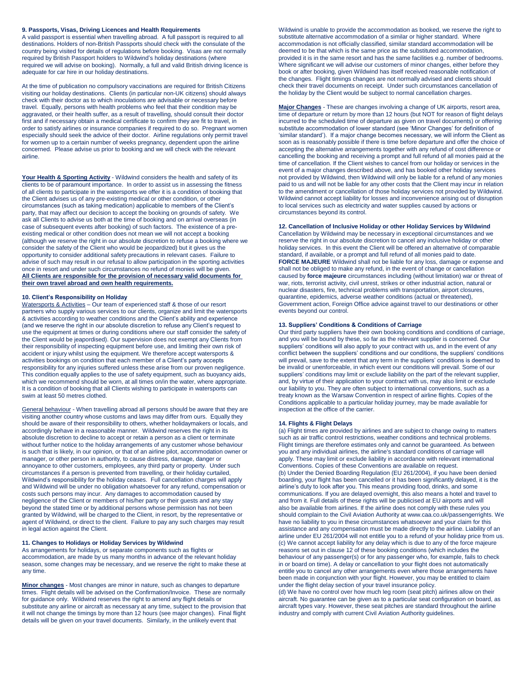# **9. Passports, Visas, Driving Licences and Health Requirements**

A valid passport is essential when travelling abroad. A full passport is required to all destinations. Holders of non-British Passports should check with the consulate of the country being visited for details of regulations before booking. Visas are not normally required by British Passport holders to Wildwind's holiday destinations (where required we will advise on booking). Normally, a full and valid British driving licence is adequate for car hire in our holiday destinations.

At the time of publication no compulsory vaccinations are required for British Citizens visiting our holiday destinations. Clients (in particular non-UK citizens) should always check with their doctor as to which inoculations are advisable or necessary before travel. Equally, persons with health problems who feel that their condition may be aggravated, or their health suffer, as a result of travelling, should consult their doctor first and if necessary obtain a medical certificate to confirm they are fit to travel, in order to satisfy airlines or insurance companies if required to do so. Pregnant women especially should seek the advice of their doctor. Airline regulations only permit travel for women up to a certain number of weeks pregnancy, dependent upon the airline concerned. Please advise us prior to booking and we will check with the relevant airline.

**Your Health & Sporting Activity** - Wildwind considers the health and safety of its clients to be of paramount importance. In order to assist us in assessing the fitness of all clients to participate in the watersports we offer it is a condition of booking that the Client advises us of any pre-existing medical or other condition, or other circumstances (such as taking medication) applicable to members of the Client's party, that may affect our decision to accept the booking on grounds of safety. We ask all Clients to advise us both at the time of booking and on arrival overseas (in case of subsequent events after booking) of such factors. The existence of a preexisting medical or other condition does not mean we will not accept a booking (although we reserve the right in our absolute discretion to refuse a booking where we consider the safety of the Client who would be jeopardized) but it gives us the opportunity to consider additional safety precautions in relevant cases. Failure to advise of such may result in our refusal to allow participation in the sporting activities once in resort and under such circumstances no refund of monies will be given. **All Clients are responsible for the provision of necessary valid documents for their own travel abroad and own health requirements.**

# **10. Client's Responsibility on Holiday**

Watersports & Activities – Our team of experienced staff & those of our resort partners who supply various services to our clients, organize and limit the watersports & activities according to weather conditions and the Client's ability and experience (and we reserve the right in our absolute discretion to refuse any Client's request to use the equipment at times or during conditions where our staff consider the safety of the Client would be jeapordised). Our supervision does not exempt any Clients from their responsibility of inspecting equipment before use, and limiting their own risk of accident or injury whilst using the equipment. We therefore accept watersports & activities bookings on condition that each member of a Client's party accepts responsibility for any injuries suffered unless these arise from our proven negligence. This condition equally applies to the use of safety equipment, such as buoyancy aids, which we recommend should be worn, at all times on/in the water, where appropriate. It is a condition of booking that all Clients wishing to participate in watersports can swim at least 50 metres clothed.

General behaviour - When travelling abroad all persons should be aware that they are visiting another country whose customs and laws may differ from ours. Equally they should be aware of their responsibility to others, whether holidaymakers or locals, and accordingly behave in a reasonable manner. Wildwind reserves the right in its absolute discretion to decline to accept or retain a person as a client or terminate without further notice to the holiday arrangements of any customer whose behaviour is such that is likely, in our opinion, or that of an airline pilot, accommodation owner or manager, or other person in authority, to cause distress, damage, danger or annoyance to other customers, employees, any third party or property. Under such circumstances if a person is prevented from travelling, or their holiday curtailed, Wildwind's responsibility for the holiday ceases. Full cancellation charges will apply and Wildwind will be under no obligation whatsoever for any refund, compensation or costs such persons may incur. Any damages to accommodation caused by negligence of the Client or members of his/her party or their guests and any stay beyond the stated time or by additional persons whose permission has not been granted by Wildwind, will be charged to the Client, in resort, by the representative or agent of Wildwind, or direct to the client. Failure to pay any such charges may result in legal action against the Client.

# **11. Changes to Holidays or Holiday Services by Wildwind**

As arrangements for holidays, or separate components such as flights or accommodation, are made by us many months in advance of the relevant holiday season, some changes may be necessary, and we reserve the right to make these at any time.

**Minor changes** - Most changes are minor in nature, such as changes to departure times. Flight details will be advised on the Confirmation/Invoice. These are normally for guidance only. Wildwind reserves the right to amend any flight details or substitute any airline or aircraft as necessary at any time, subject to the provision that it will not change the timings by more than 12 hours (see major changes). Final flight details will be given on your travel documents. Similarly, in the unlikely event that

Wildwind is unable to provide the accommodation as booked, we reserve the right to substitute alternative accommodation of a similar or higher standard. Where accommodation is not officially classified, similar standard accommodation will be deemed to be that which is the same price as the substituted accommodation, provided it is in the same resort and has the same facilities e.g. number of bedrooms. Where significant we will advise our customers of minor changes, either before they book or after booking, given Wildwind has itself received reasonable notification of the changes. Flight timings changes are not normally advised and clients should check their travel documents on receipt. Under such circumstances cancellation of the holiday by the Client would be subject to normal cancellation charges.

**Major Changes** - These are changes involving a change of UK airports, resort area, time of departure or return by more than 12 hours (but NOT for reason of flight delays incurred to the scheduled time of departure as given on travel documents) or offering substitute accommodation of lower standard (see 'Minor Changes' for definition of 'similar standard'). If a major change becomes necessary, we will inform the Client as soon as is reasonably possible if there is time before departure and offer the choice of accepting the alternative arrangements together with any refund of cost difference or cancelling the booking and receiving a prompt and full refund of all monies paid at the time of cancellation. If the Client wishes to cancel from our holiday or services in the event of a major changes described above, and has booked other holiday services not provided by Wildwind, then Wildwind will only be liable for a refund of any monies paid to us and will not be liable for any other costs that the Client may incur in relation to the amendment or cancellation of those holiday services not provided by Wildwind. Wildwind cannot accept liability for losses and inconvenience arising out of disruption to local services such as electricity and water supplies caused by actions or circumstances beyond its control.

# **12. Cancellation of Inclusive Holiday or other Holiday Services by Wildwind**

Cancellation by Wildwind may be necessary in exceptional circumstances and we reserve the right in our absolute discretion to cancel any inclusive holiday or other holiday services. In this event the Client will be offered an alternative of comparable standard, if available, or a prompt and full refund of all monies paid to date. **FORCE MAJEURE** Wildwind shall not be liable for any loss, damage or expense and shall not be obliged to make any refund, in the event of change or cancellation caused by **force majeure** circumstances including (without limitation) war or threat of war, riots, terrorist activity, civil unrest, strikes or other industrial action, natural or nuclear disasters, fire, technical problems with transportation, airport closures, quarantine, epidemics, adverse weather conditions (actual or threatened), Government action, Foreign Office advice against travel to our destinations or other events beyond our control.

## **13. Suppliers' Conditions & Conditions of Carriage**

Our third party suppliers have their own booking conditions and conditions of carriage, and you will be bound by these, so far as the relevant supplier is concerned. Our suppliers' conditions will also apply to your contract with us, and in the event of any conflict between the suppliers' conditions and our conditions, the suppliers' conditions will prevail, save to the extent that any term in the suppliers' conditions is deemed to be invalid or unenforceable, in which event our conditions will prevail. Some of our suppliers' conditions may limit or exclude liability on the part of the relevant supplier, and, by virtue of their application to your contract with us, may also limit or exclude our liability to you. They are often subject to international conventions, such as a treaty known as the Warsaw Convention in respect of airline flights. Copies of the Conditions applicable to a particular holiday journey, may be made available for inspection at the office of the carrier.

#### **14. Flights & Flight Delays**

(a) Flight times are provided by airlines and are subject to change owing to matters such as air traffic control restrictions, weather conditions and technical problems. Flight timings are therefore estimates only and cannot be guaranteed. As between you and any individual airlines, the airline's standard conditions of carriage will apply. These may limit or exclude liability in accordance with relevant international Conventions. Copies of these Conventions are available on request. (b) Under the Denied Boarding Regulation (EU 261/2004), if you have been denied boarding, your flight has been cancelled or it has been significantly delayed, it is the airline's duty to look after you. This means providing food, drinks, and some communications. If you are delayed overnight, this also means a hotel and travel to and from it. Full details of these rights will be publicised at EU airports and will also be available from airlines. If the airline does not comply with these rules you should complain to the Civil Aviation Authority at www.caa.co.uk/passengerrights. We have no liability to you in these circumstances whatsoever and your claim for this assistance and any compensation must be made directly to the airline. Liability of an airline under EU 261/2004 will not entitle you to a refund of your holiday price from us. (c) We cannot accept liability for any delay which is due to any of the force majeure reasons set out in clause 12 of these booking conditions (which includes the behaviour of any passenger(s) or for any passenger who, for example, fails to check in or board on time). A delay or cancellation to your flight does not automatically entitle you to cancel any other arrangements even where those arrangements have been made in conjunction with your flight. However, you may be entitled to claim under the flight delay section of your travel insurance policy.

(d) We have no control over how much leg room (seat pitch) airlines allow on their aircraft. No guarantee can be given as to a particular seat configuration on board, as aircraft types vary. However, these seat pitches are standard throughout the airline industry and comply with current Civil Aviation Authority guidelines.